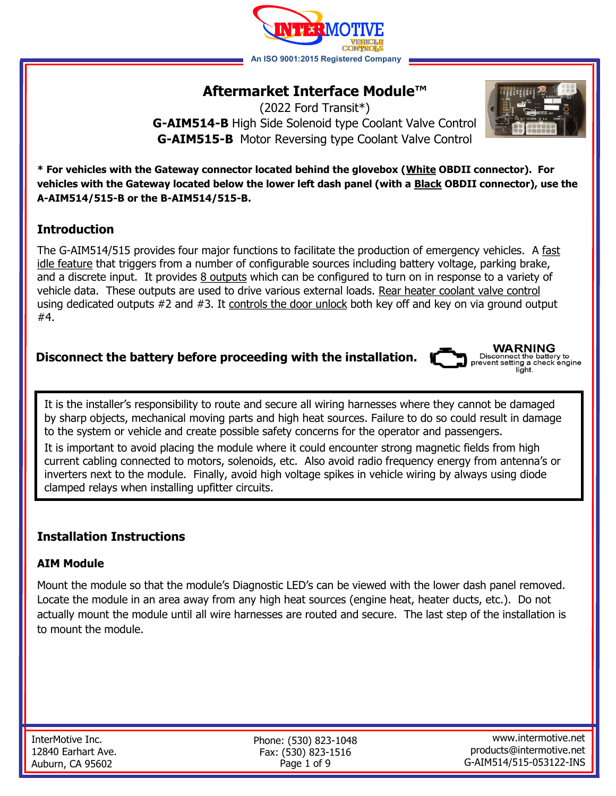

# **Aftermarket Interface Module™**

(2022 Ford Transit\*) **G-AIM514-B** High Side Solenoid type Coolant Valve Control **G-AIM515-B** Motor Reversing type Coolant Valve Control



**\* For vehicles with the Gateway connector located behind the glovebox (White OBDII connector). For vehicles with the Gateway located below the lower left dash panel (with a Black OBDII connector), use the A-AIM514/515-B or the B-AIM514/515-B.** 

# **Introduction**

The G-AIM514/515 provides four major functions to facilitate the production of emergency vehicles. A fast idle feature that triggers from a number of configurable sources including battery voltage, parking brake, and a discrete input. It provides 8 outputs which can be configured to turn on in response to a variety of vehicle data. These outputs are used to drive various external loads. Rear heater coolant valve control using dedicated outputs #2 and #3. It controls the door unlock both key off and key on via ground output #4.

# **Disconnect the battery before proceeding with the installation.**



Disconnect the battery to prevent setting a check engine light.

It is the installer's responsibility to route and secure all wiring harnesses where they cannot be damaged by sharp objects, mechanical moving parts and high heat sources. Failure to do so could result in damage to the system or vehicle and create possible safety concerns for the operator and passengers. It is important to avoid placing the module where it could encounter strong magnetic fields from high current cabling connected to motors, solenoids, etc. Also avoid radio frequency energy from antenna's or inverters next to the module. Finally, avoid high voltage spikes in vehicle wiring by always using diode

clamped relays when installing upfitter circuits.

# **Installation Instructions**

## **AIM Module**

Mount the module so that the module's Diagnostic LED's can be viewed with the lower dash panel removed. Locate the module in an area away from any high heat sources (engine heat, heater ducts, etc.). Do not actually mount the module until all wire harnesses are routed and secure. The last step of the installation is to mount the module.

| InterMotive Inc.   |
|--------------------|
| 12840 Earhart Ave. |
| Auburn, CA 95602   |

Phone: (530) 823-1048 Fax: (530) 823-1516 Page 1 of 9

www.intermotive.net products@intermotive.net G-AIM514/515-053122-INS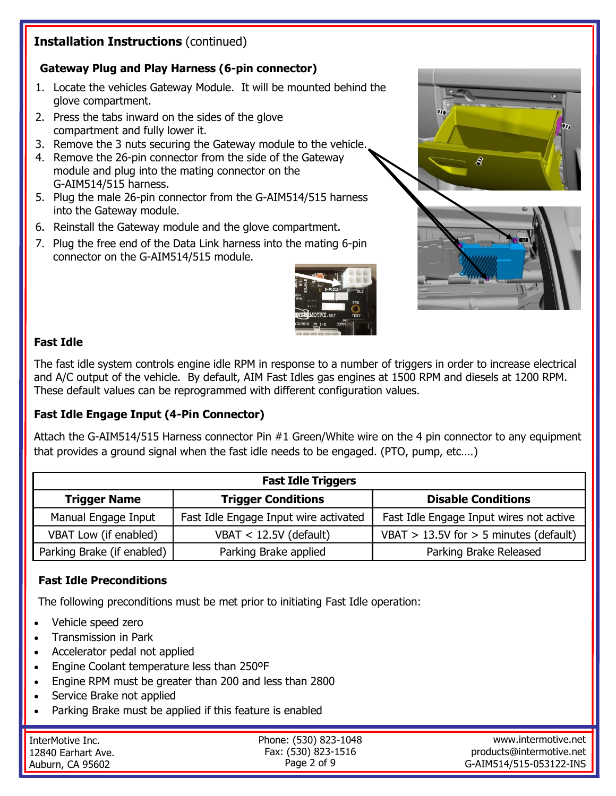# **Installation Instructions** (continued)

## **Gateway Plug and Play Harness (6-pin connector)**

- 1. Locate the vehicles Gateway Module. It will be mounted behind the glove compartment.
- 2. Press the tabs inward on the sides of the glove compartment and fully lower it.
- 3. Remove the 3 nuts securing the Gateway module to the vehicle.
- 4. Remove the 26-pin connector from the side of the Gateway module and plug into the mating connector on the G-AIM514/515 harness.
- 5. Plug the male 26-pin connector from the G-AIM514/515 harness into the Gateway module.
- 6. Reinstall the Gateway module and the glove compartment.
- 7. Plug the free end of the Data Link harness into the mating 6-pin connector on the G-AIM514/515 module.







#### **Fast Idle**

The fast idle system controls engine idle RPM in response to a number of triggers in order to increase electrical and A/C output of the vehicle. By default, AIM Fast Idles gas engines at 1500 RPM and diesels at 1200 RPM. These default values can be reprogrammed with different configuration values.

## **Fast Idle Engage Input (4-Pin Connector)**

Attach the G-AIM514/515 Harness connector Pin #1 Green/White wire on the 4 pin connector to any equipment that provides a ground signal when the fast idle needs to be engaged. (PTO, pump, etc….)

| <b>Fast Idle Triggers</b>  |                                       |                                            |  |  |  |
|----------------------------|---------------------------------------|--------------------------------------------|--|--|--|
| <b>Trigger Name</b>        | <b>Trigger Conditions</b>             | <b>Disable Conditions</b>                  |  |  |  |
| Manual Engage Input        | Fast Idle Engage Input wire activated | Fast Idle Engage Input wires not active    |  |  |  |
| VBAT Low (if enabled)      | $VBAT < 12.5V$ (default)              | VBAT $> 13.5V$ for $> 5$ minutes (default) |  |  |  |
| Parking Brake (if enabled) | Parking Brake applied                 | Parking Brake Released                     |  |  |  |

#### **Fast Idle Preconditions**

The following preconditions must be met prior to initiating Fast Idle operation:

- Vehicle speed zero
- Transmission in Park
- Accelerator pedal not applied
- Engine Coolant temperature less than 250ºF
- Engine RPM must be greater than 200 and less than 2800
- Service Brake not applied
- Parking Brake must be applied if this feature is enabled

| ' InterMotive Inc. | Phone: (530) 823-1048 | www.intermotive.net      |
|--------------------|-----------------------|--------------------------|
| 12840 Earhart Ave. | Fax: (530) 823-1516   | products@intermotive.net |
| Auburn, CA 95602   | Page 2 of 9           | G-AIM514/515-053122-INS  |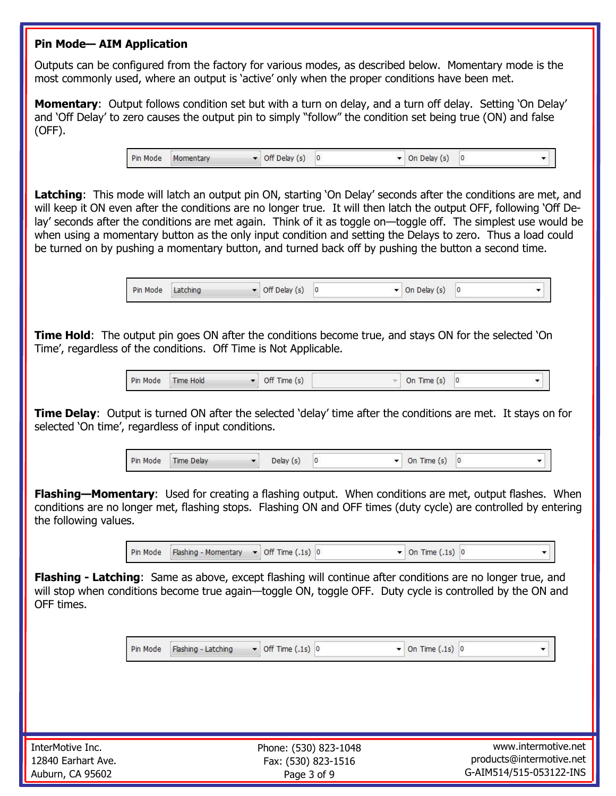#### **Pin Mode— AIM Application**

Outputs can be configured from the factory for various modes, as described below. Momentary mode is the most commonly used, where an output is 'active' only when the proper conditions have been met.

**Momentary**: Output follows condition set but with a turn on delay, and a turn off delay. Setting 'On Delay' and 'Off Delay' to zero causes the output pin to simply "follow" the condition set being true (ON) and false (OFF).

> Pin Mode Momentary  $\bullet$  Off Delay (s) 0  $\blacktriangleright$  On Delay (s) 0

Latching: This mode will latch an output pin ON, starting 'On Delay' seconds after the conditions are met, and will keep it ON even after the conditions are no longer true. It will then latch the output OFF, following 'Off Delay' seconds after the conditions are met again. Think of it as toggle on—toggle off. The simplest use would be when using a momentary button as the only input condition and setting the Delays to zero. Thus a load could be turned on by pushing a momentary button, and turned back off by pushing the button a second time.

| <b>Contract Contract</b> |                    |                         |   |                          |   |  |
|--------------------------|--------------------|-------------------------|---|--------------------------|---|--|
| Pin Mode                 | Latching<br>$\sim$ | $\cdot$ Delay (s)<br>UΠ | u | Delay<br><b>On</b><br>15 | 0 |  |

**Time Hold**: The output pin goes ON after the conditions become true, and stays ON for the selected 'On Time', regardless of the conditions. Off Time is Not Applicable.

| Pin Mode | Time Hold | Off Time (s) | On Time (s) 0<br>Total C |  |  |
|----------|-----------|--------------|--------------------------|--|--|
|----------|-----------|--------------|--------------------------|--|--|

**Time Delay**: Output is turned ON after the selected 'delay' time after the conditions are met. It stays on for selected 'On time', regardless of input conditions.

> Pin Mode Time Delay Delay  $(s)$  0  $\bullet$  On Time (s) 0  $\star$

**Flashing—Momentary**: Used for creating a flashing output. When conditions are met, output flashes. When conditions are no longer met, flashing stops. Flashing ON and OFF times (duty cycle) are controlled by entering the following values.

> Pin Mode Flashing - Momentary  $\bullet$  Off Time (.1s) 0  $\bullet$  On Time (.1s) 0

**Flashing - Latching**: Same as above, except flashing will continue after conditions are no longer true, and will stop when conditions become true again—toggle ON, toggle OFF. Duty cycle is controlled by the ON and OFF times.

> Pin Mode Flashing - Latching  $\bullet$  Off Time (.1s) 0  $\blacktriangleright$  On Time (.1s) 0

Phone: (530) 823-1048 Fax: (530) 823-1516 Page 3 of 9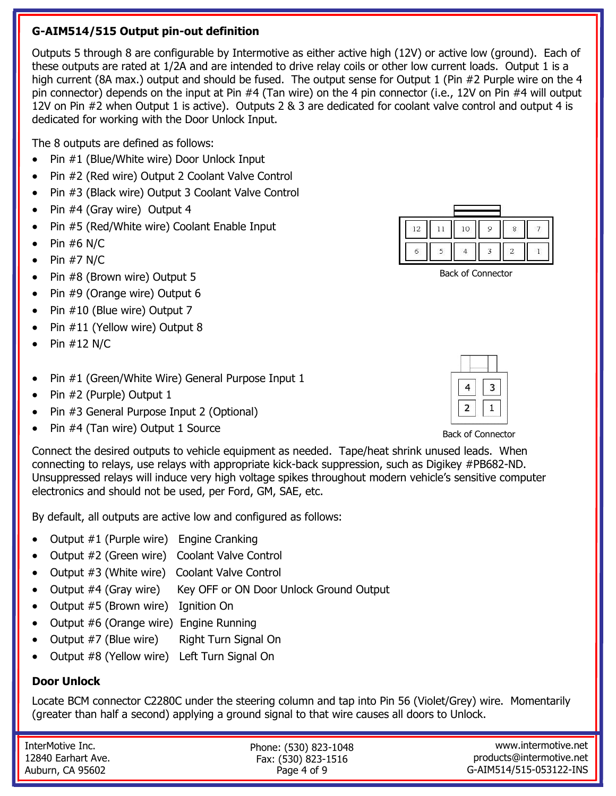# **G-AIM514/515 Output pin-out definition**

Outputs 5 through 8 are configurable by Intermotive as either active high (12V) or active low (ground). Each of these outputs are rated at 1/2A and are intended to drive relay coils or other low current loads. Output 1 is a high current (8A max.) output and should be fused. The output sense for Output 1 (Pin #2 Purple wire on the 4 pin connector) depends on the input at Pin #4 (Tan wire) on the 4 pin connector (i.e., 12V on Pin #4 will output 12V on Pin #2 when Output 1 is active). Outputs 2 & 3 are dedicated for coolant valve control and output 4 is dedicated for working with the Door Unlock Input.

The 8 outputs are defined as follows:

- Pin #1 (Blue/White wire) Door Unlock Input
- Pin #2 (Red wire) Output 2 Coolant Valve Control
- Pin #3 (Black wire) Output 3 Coolant Valve Control
- Pin #4 (Gray wire) Output 4
- Pin #5 (Red/White wire) Coolant Enable Input
- $\bullet$  Pin #6 N/C
- $\bullet$  Pin #7 N/C
- Pin #8 (Brown wire) Output 5
- Pin #9 (Orange wire) Output 6
- Pin #10 (Blue wire) Output 7
- Pin #11 (Yellow wire) Output 8
- Pin #12 N/C
- Pin #1 (Green/White Wire) General Purpose Input 1
- Pin #2 (Purple) Output 1
- Pin #3 General Purpose Input 2 (Optional)
- Pin #4 (Tan wire) Output 1 Source



Back of Connector



Back of Connector

Connect the desired outputs to vehicle equipment as needed. Tape/heat shrink unused leads. When connecting to relays, use relays with appropriate kick-back suppression, such as Digikey #PB682-ND. Unsuppressed relays will induce very high voltage spikes throughout modern vehicle's sensitive computer electronics and should not be used, per Ford, GM, SAE, etc.

By default, all outputs are active low and configured as follows:

- Output #1 (Purple wire) Engine Cranking
- Output #2 (Green wire) Coolant Valve Control
- Output #3 (White wire) Coolant Valve Control
- Output #4 (Gray wire) Key OFF or ON Door Unlock Ground Output
- Output #5 (Brown wire) Ignition On
- Output #6 (Orange wire) Engine Running
- Output #7 (Blue wire) Right Turn Signal On
- Output #8 (Yellow wire) Left Turn Signal On

## **Door Unlock**

Locate BCM connector C2280C under the steering column and tap into Pin 56 (Violet/Grey) wire. Momentarily (greater than half a second) applying a ground signal to that wire causes all doors to Unlock.

InterMotive Inc. 12840 Earhart Ave. Auburn, CA 95602

Phone: (530) 823-1048 Fax: (530) 823-1516 Page 4 of 9

www.intermotive.net products@intermotive.net G-AIM514/515-053122-INS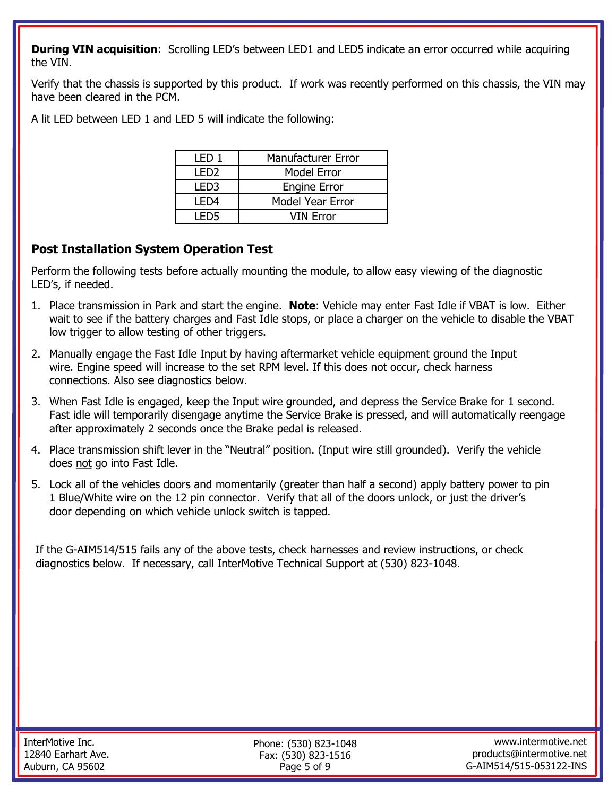**During VIN acquisition:** Scrolling LED's between LED1 and LED5 indicate an error occurred while acquiring the VIN.

Verify that the chassis is supported by this product. If work was recently performed on this chassis, the VIN may have been cleared in the PCM.

A lit LED between LED 1 and LED 5 will indicate the following:

| I FD 1 | Manufacturer Error  |  |
|--------|---------------------|--|
| I FD2  | <b>Model Error</b>  |  |
| LED3   | <b>Engine Error</b> |  |
| I FD4  | Model Year Error    |  |
| I FD5  | VIN Error           |  |

# **Post Installation System Operation Test**

Perform the following tests before actually mounting the module, to allow easy viewing of the diagnostic LED's, if needed.

- 1. Place transmission in Park and start the engine. **Note**: Vehicle may enter Fast Idle if VBAT is low. Either wait to see if the battery charges and Fast Idle stops, or place a charger on the vehicle to disable the VBAT low trigger to allow testing of other triggers.
- 2. Manually engage the Fast Idle Input by having aftermarket vehicle equipment ground the Input wire. Engine speed will increase to the set RPM level. If this does not occur, check harness connections. Also see diagnostics below.
- 3. When Fast Idle is engaged, keep the Input wire grounded, and depress the Service Brake for 1 second. Fast idle will temporarily disengage anytime the Service Brake is pressed, and will automatically reengage after approximately 2 seconds once the Brake pedal is released.
- 4. Place transmission shift lever in the "Neutral" position. (Input wire still grounded). Verify the vehicle does not go into Fast Idle.
- 5. Lock all of the vehicles doors and momentarily (greater than half a second) apply battery power to pin 1 Blue/White wire on the 12 pin connector. Verify that all of the doors unlock, or just the driver's door depending on which vehicle unlock switch is tapped.

If the G-AIM514/515 fails any of the above tests, check harnesses and review instructions, or check diagnostics below. If necessary, call InterMotive Technical Support at (530) 823-1048.

Phone: (530) 823-1048 Fax: (530) 823-1516 Page 5 of 9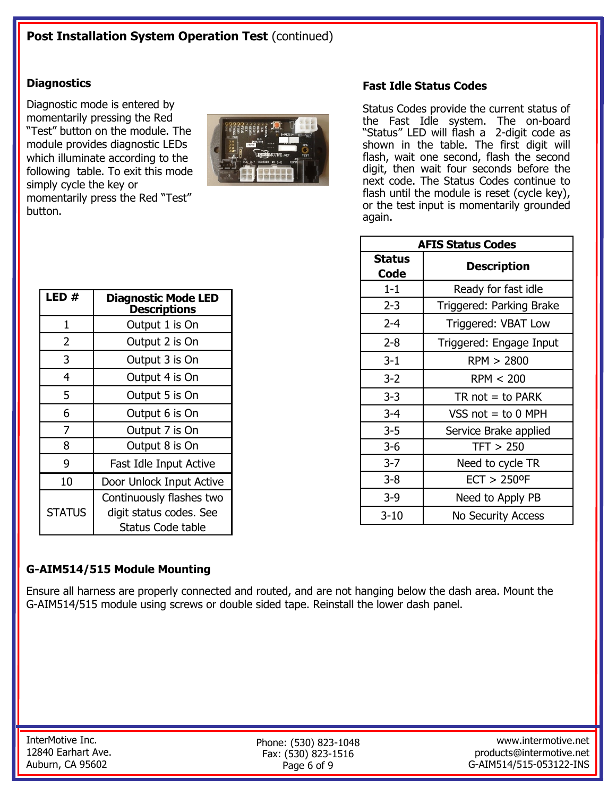#### **Diagnostics**

Diagnostic mode is entered by momentarily pressing the Red "Test" button on the module. The module provides diagnostic LEDs which illuminate according to the following table. To exit this mode simply cycle the key or momentarily press the Red "Test" button.



#### **Fast Idle Status Codes**

Status Codes provide the current status of the Fast Idle system. The on-board "Status" LED will flash a 2-digit code as shown in the table. The first digit will flash, wait one second, flash the second digit, then wait four seconds before the next code. The Status Codes continue to flash until the module is reset (cycle key), or the test input is momentarily grounded again.

| <b>AFIS Status Codes</b> |                            |  |  |  |
|--------------------------|----------------------------|--|--|--|
| Status<br>Code           | <b>Description</b>         |  |  |  |
| $1 - 1$                  | Ready for fast idle        |  |  |  |
| $2 - 3$                  | Triggered: Parking Brake   |  |  |  |
| $2 - 4$                  | Triggered: VBAT Low        |  |  |  |
| $2 - 8$                  | Triggered: Engage Input    |  |  |  |
| $3 - 1$                  | RPM > 2800                 |  |  |  |
| $3 - 2$                  | RPM < 200                  |  |  |  |
| $3 - 3$                  | $TR$ not = to PARK         |  |  |  |
| $3 - 4$                  | VSS $not = to 0$ MPH       |  |  |  |
| $3 - 5$                  | Service Brake applied      |  |  |  |
| $3 - 6$                  | TFT > 250                  |  |  |  |
| $3 - 7$                  | Need to cycle TR           |  |  |  |
| $3 - 8$                  | $ECT > 250$ <sup>o</sup> F |  |  |  |
| $3-9$                    | Need to Apply PB           |  |  |  |
| 3-10                     | <b>No Security Access</b>  |  |  |  |

| LED #         | <b>Diagnostic Mode LED</b><br><b>Descriptions</b>                        |  |  |
|---------------|--------------------------------------------------------------------------|--|--|
| 1             | Output 1 is On                                                           |  |  |
| 2             | Output 2 is On                                                           |  |  |
| 3             | Output 3 is On                                                           |  |  |
| 4             | Output 4 is On                                                           |  |  |
| 5             | Output 5 is On                                                           |  |  |
| 6             | Output 6 is On                                                           |  |  |
| 7             | Output 7 is On                                                           |  |  |
| 8             | Output 8 is On                                                           |  |  |
| 9             | Fast Idle Input Active                                                   |  |  |
| 10            | Door Unlock Input Active                                                 |  |  |
| <b>STATUS</b> | Continuously flashes two<br>digit status codes. See<br>Status Code table |  |  |

## **G-AIM514/515 Module Mounting**

Ensure all harness are properly connected and routed, and are not hanging below the dash area. Mount the G-AIM514/515 module using screws or double sided tape. Reinstall the lower dash panel.

Phone: (530) 823-1048 Fax: (530) 823-1516 Page 6 of 9

www.intermotive.net products@intermotive.net G-AIM514/515-053122-INS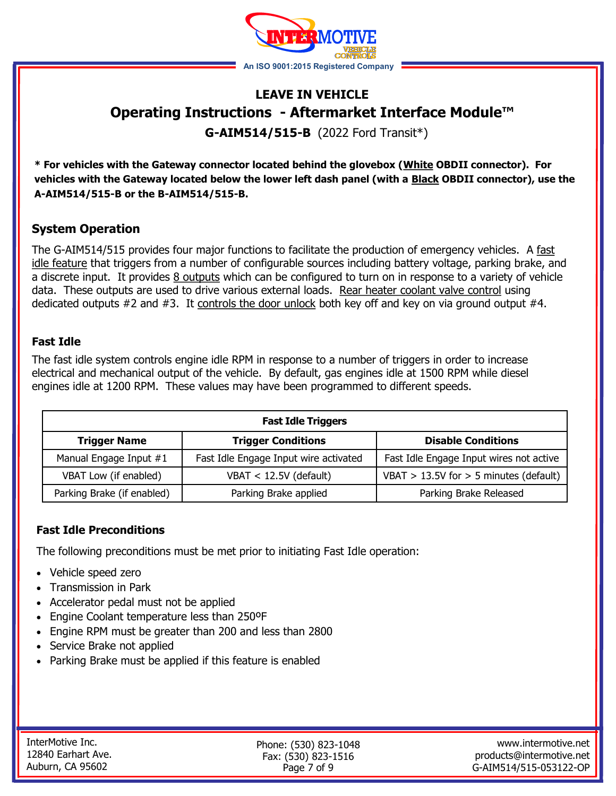

# **LEAVE IN VEHICLE Operating Instructions - Aftermarket Interface Module™**

**G-AIM514/515-B** (2022 Ford Transit\*)

**\* For vehicles with the Gateway connector located behind the glovebox (White OBDII connector). For vehicles with the Gateway located below the lower left dash panel (with a Black OBDII connector), use the A-AIM514/515-B or the B-AIM514/515-B.** 

# **System Operation**

The G-AIM514/515 provides four major functions to facilitate the production of emergency vehicles. A fast idle feature that triggers from a number of configurable sources including battery voltage, parking brake, and a discrete input. It provides 8 outputs which can be configured to turn on in response to a variety of vehicle data. These outputs are used to drive various external loads. Rear heater coolant valve control using dedicated outputs #2 and #3. It controls the door unlock both key off and key on via ground output #4.

#### **Fast Idle**

The fast idle system controls engine idle RPM in response to a number of triggers in order to increase electrical and mechanical output of the vehicle. By default, gas engines idle at 1500 RPM while diesel engines idle at 1200 RPM. These values may have been programmed to different speeds.

| <b>Fast Idle Triggers</b>                                                     |                                       |                                            |  |  |  |
|-------------------------------------------------------------------------------|---------------------------------------|--------------------------------------------|--|--|--|
| <b>Trigger Conditions</b><br><b>Disable Conditions</b><br><b>Trigger Name</b> |                                       |                                            |  |  |  |
| Manual Engage Input #1                                                        | Fast Idle Engage Input wire activated | Fast Idle Engage Input wires not active    |  |  |  |
| VBAT Low (if enabled)                                                         | VBAT $<$ 12.5V (default)              | VBAT $> 13.5V$ for $> 5$ minutes (default) |  |  |  |
| Parking Brake (if enabled)                                                    | Parking Brake applied                 | Parking Brake Released                     |  |  |  |

#### **Fast Idle Preconditions**

The following preconditions must be met prior to initiating Fast Idle operation:

- Vehicle speed zero
- Transmission in Park
- Accelerator pedal must not be applied
- Engine Coolant temperature less than 250ºF
- Engine RPM must be greater than 200 and less than 2800
- Service Brake not applied
- Parking Brake must be applied if this feature is enabled

Phone: (530) 823-1048 Fax: (530) 823-1516 Page 7 of 9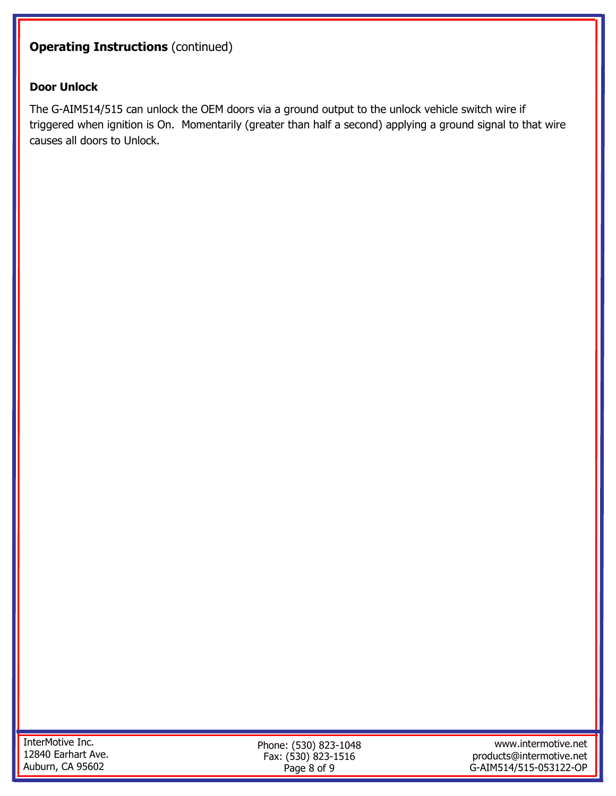# **Operating Instructions (continued)**

#### **Door Unlock**

The G-AIM514/515 can unlock the OEM doors via a ground output to the unlock vehicle switch wire if triggered when ignition is On. Momentarily (greater than half a second) applying a ground signal to that wire causes all doors to Unlock.

Phone: (530) 823-1048 Fax: (530) 823-1516 Page 8 of 9

www.intermotive.net products@intermotive.net G-AIM514/515-053122-OP